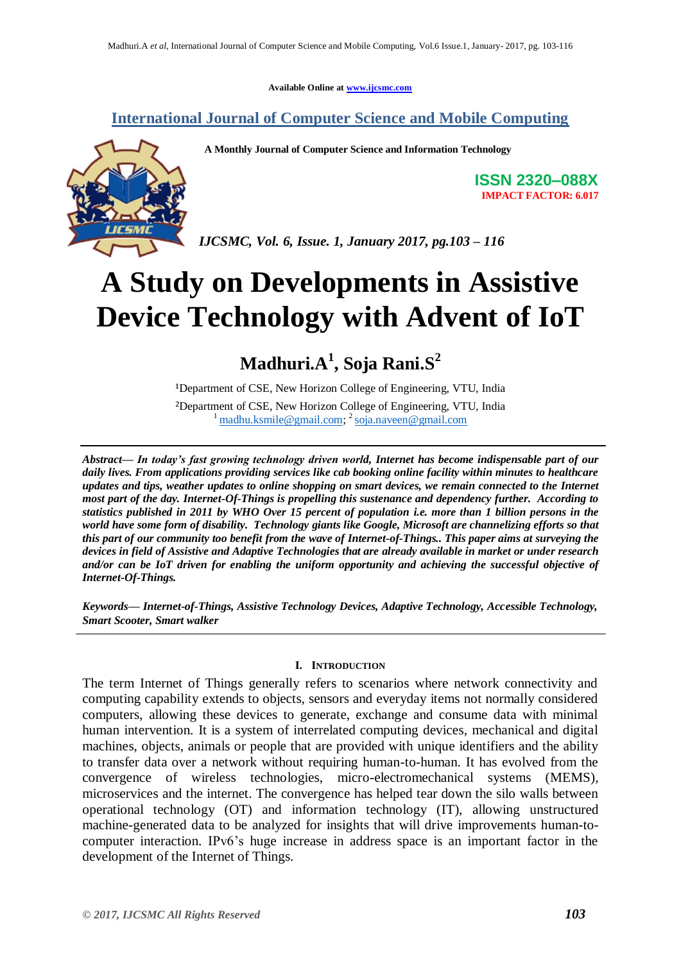**Available Online at [www.ijcsmc.com](http://www.ijcsmc.com/)**

### **International Journal of Computer Science and Mobile Computing**



 **A Monthly Journal of Computer Science and Information Technology**

**ISSN 2320–088X IMPACT FACTOR: 6.017**

*IJCSMC, Vol. 6, Issue. 1, January 2017, pg.103 – 116*

# **A Study on Developments in Assistive Device Technology with Advent of IoT**

# **Madhuri.A<sup>1</sup> , Soja Rani.S<sup>2</sup>**

<sup>1</sup>Department of CSE, New Horizon College of Engineering, VTU, India

²Department of CSE, New Horizon College of Engineering, VTU, India <sup>1</sup> [madhu.ksmile@gmail.com;](mailto:madhu.ksmile@gmail.com) <sup>2</sup> [soja.naveen@gmail.com](mailto:soja.naveen@gmail.com)

*Abstract— In today's fast growing technology driven world, Internet has become indispensable part of our daily lives. From applications providing services like cab booking online facility within minutes to healthcare updates and tips, weather updates to online shopping on smart devices, we remain connected to the Internet most part of the day. Internet-Of-Things is propelling this sustenance and dependency further. According to statistics published in 2011 by WHO Over 15 percent of population i.e. more than 1 billion persons in the world have some form of disability. Technology giants like Google, Microsoft are channelizing efforts so that this part of our community too benefit from the wave of Internet-of-Things.. This paper aims at surveying the devices in field of Assistive and Adaptive Technologies that are already available in market or under research and/or can be IoT driven for enabling the uniform opportunity and achieving the successful objective of Internet-Of-Things.*

*Keywords— Internet-of-Things, Assistive Technology Devices, Adaptive Technology, Accessible Technology, Smart Scooter, Smart walker*

#### **I. INTRODUCTION**

The term Internet of Things generally refers to scenarios where network connectivity and computing capability extends to objects, sensors and everyday items not normally considered computers, allowing these devices to generate, exchange and consume data with minimal human intervention. It is a system of interrelated computing devices, mechanical and digital machines, objects, animals or people that are provided with [unique identifiers](http://whatis.techtarget.com/definition/unique-identifier-UID) and the ability to transfer data over a network without requiring human-to-human. It has evolved from the convergence of [wireless](http://searchmobilecomputing.techtarget.com/definition/wireless) technologies, micro-electromechanical systems [\(MEMS\)](http://searchcio-midmarket.techtarget.com/definition/micro-electromechanical-systems), [microservices](http://searchsoa.techtarget.com/definition/microservices) and the internet. The convergence has helped tear down the silo walls between operational technology [\(OT\)](http://whatis.techtarget.com/definition/operational-technology) and information technology [\(IT\)](http://searchdatacenter.techtarget.com/definition/IT), allowing unstructured [machine-generated data](http://internetofthingsagenda.techtarget.com/definition/machine-data) to be analyzed for insights that will drive improvements human-tocomputer interaction. [IPv6's](http://searchenterprisewan.techtarget.com/definition/IPv6) huge increase in address space is an important factor in the development of the Internet of Things.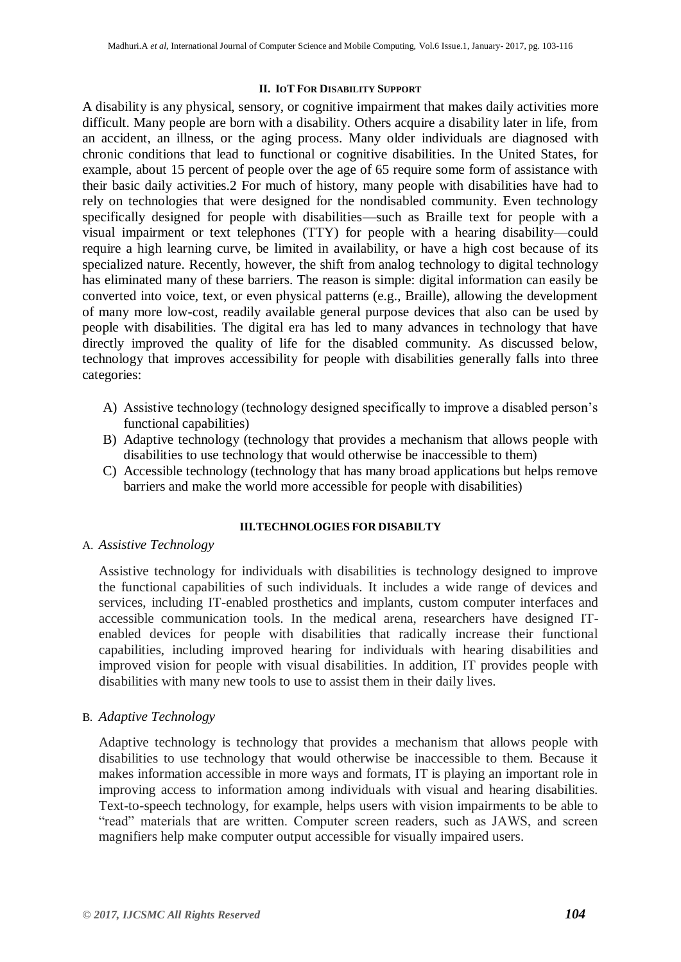#### **II. IOT FOR DISABILITY SUPPORT**

A disability is any physical, sensory, or cognitive impairment that makes daily activities more difficult. Many people are born with a disability. Others acquire a disability later in life, from an accident, an illness, or the aging process. Many older individuals are diagnosed with chronic conditions that lead to functional or cognitive disabilities. In the United States, for example, about 15 percent of people over the age of 65 require some form of assistance with their basic daily activities.2 For much of history, many people with disabilities have had to rely on technologies that were designed for the nondisabled community. Even technology specifically designed for people with disabilities—such as Braille text for people with a visual impairment or text telephones (TTY) for people with a hearing disability—could require a high learning curve, be limited in availability, or have a high cost because of its specialized nature. Recently, however, the shift from analog technology to digital technology has eliminated many of these barriers. The reason is simple: digital information can easily be converted into voice, text, or even physical patterns (e.g., Braille), allowing the development of many more low-cost, readily available general purpose devices that also can be used by people with disabilities. The digital era has led to many advances in technology that have directly improved the quality of life for the disabled community. As discussed below, technology that improves accessibility for people with disabilities generally falls into three categories:

- A) Assistive technology (technology designed specifically to improve a disabled person's functional capabilities)
- B) Adaptive technology (technology that provides a mechanism that allows people with disabilities to use technology that would otherwise be inaccessible to them)
- C) Accessible technology (technology that has many broad applications but helps remove barriers and make the world more accessible for people with disabilities)

#### **III.TECHNOLOGIES FOR DISABILTY**

A. *Assistive Technology*

Assistive technology for individuals with disabilities is technology designed to improve the functional capabilities of such individuals. It includes a wide range of devices and services, including IT-enabled prosthetics and implants, custom computer interfaces and accessible communication tools. In the medical arena, researchers have designed ITenabled devices for people with disabilities that radically increase their functional capabilities, including improved hearing for individuals with hearing disabilities and improved vision for people with visual disabilities. In addition, IT provides people with disabilities with many new tools to use to assist them in their daily lives.

#### B. *Adaptive Technology*

Adaptive technology is technology that provides a mechanism that allows people with disabilities to use technology that would otherwise be inaccessible to them. Because it makes information accessible in more ways and formats, IT is playing an important role in improving access to information among individuals with visual and hearing disabilities. Text-to-speech technology, for example, helps users with vision impairments to be able to "read" materials that are written. Computer screen readers, such as JAWS, and screen magnifiers help make computer output accessible for visually impaired users.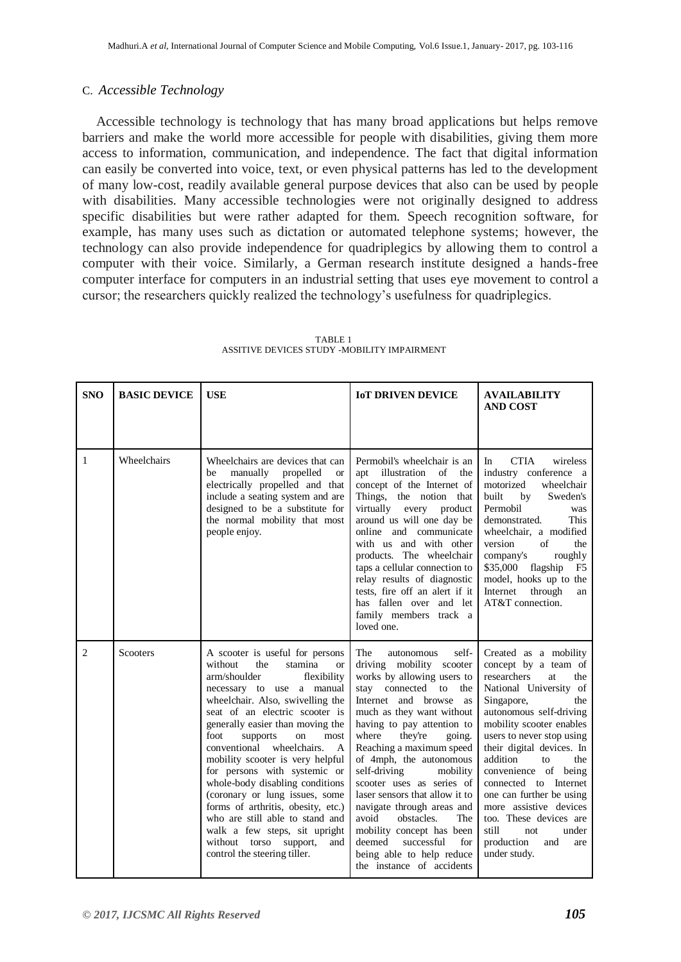#### C. *Accessible Technology*

 Accessible technology is technology that has many broad applications but helps remove barriers and make the world more accessible for people with disabilities, giving them more access to information, communication, and independence. The fact that digital information can easily be converted into voice, text, or even physical patterns has led to the development of many low-cost, readily available general purpose devices that also can be used by people with disabilities. Many accessible technologies were not originally designed to address specific disabilities but were rather adapted for them. Speech recognition software, for example, has many uses such as dictation or automated telephone systems; however, the technology can also provide independence for quadriplegics by allowing them to control a computer with their voice. Similarly, a German research institute designed a hands-free computer interface for computers in an industrial setting that uses eye movement to control a cursor; the researchers quickly realized the technology's usefulness for quadriplegics.

| <b>SNO</b> | <b>BASIC DEVICE</b> | <b>USE</b>                                                                                                                                                                                                                                                                                                                                                                                                                                                                                                                                                                                                                                 | <b>IOT DRIVEN DEVICE</b>                                                                                                                                                                                                                                                                                                                                                                                                                                                                                                                                                         | <b>AVAILABILITY</b><br><b>AND COST</b>                                                                                                                                                                                                                                                                                                                                                                                                                                    |
|------------|---------------------|--------------------------------------------------------------------------------------------------------------------------------------------------------------------------------------------------------------------------------------------------------------------------------------------------------------------------------------------------------------------------------------------------------------------------------------------------------------------------------------------------------------------------------------------------------------------------------------------------------------------------------------------|----------------------------------------------------------------------------------------------------------------------------------------------------------------------------------------------------------------------------------------------------------------------------------------------------------------------------------------------------------------------------------------------------------------------------------------------------------------------------------------------------------------------------------------------------------------------------------|---------------------------------------------------------------------------------------------------------------------------------------------------------------------------------------------------------------------------------------------------------------------------------------------------------------------------------------------------------------------------------------------------------------------------------------------------------------------------|
| 1          | Wheelchairs         | Wheelchairs are devices that can<br>manually propelled<br>be<br><b>or</b><br>electrically propelled and that<br>include a seating system and are<br>designed to be a substitute for<br>the normal mobility that most<br>people enjoy.                                                                                                                                                                                                                                                                                                                                                                                                      | Permobil's wheelchair is an<br>apt illustration of<br>the<br>concept of the Internet of<br>Things, the notion that<br>virtually every<br>product<br>around us will one day be<br>online and communicate<br>with us and with other<br>products. The wheelchair<br>taps a cellular connection to<br>relay results of diagnostic<br>tests, fire off an alert if it<br>has fallen over and let<br>family members track a<br>loved one.                                                                                                                                               | <b>CTIA</b><br>wireless<br>In<br>industry conference a<br>motorized<br>wheelchair<br>built<br>Sweden's<br>by<br>Permobil<br>was<br>This<br>demonstrated.<br>wheelchair, a modified<br>version<br>$\sigma$ f<br>the<br>company's<br>roughly<br>\$35,000<br>flagship<br>F <sub>5</sub><br>model, hooks up to the<br>Internet<br>through<br>an<br>AT&T connection.                                                                                                           |
| 2          | Scooters            | A scooter is useful for persons<br>without<br>the<br>stamina<br><b>or</b><br>arm/shoulder<br>flexibility<br>necessary to use a manual<br>wheelchair. Also, swivelling the<br>seat of an electric scooter is<br>generally easier than moving the<br>foot<br>supports<br>on<br>most<br>conventional<br>wheelchairs.<br>A<br>mobility scooter is very helpful<br>for persons with systemic or<br>whole-body disabling conditions<br>(coronary or lung issues, some<br>forms of arthritis, obesity, etc.)<br>who are still able to stand and<br>walk a few steps, sit upright<br>without torso support,<br>and<br>control the steering tiller. | The<br>self-<br>autonomous<br>driving mobility scooter<br>works by allowing users to<br>stay<br>connected<br>to<br>the<br>Internet and browse<br>as<br>much as they want without<br>having to pay attention to<br>where<br>they're<br>going.<br>Reaching a maximum speed<br>of 4mph, the autonomous<br>self-driving<br>mobility<br>scooter uses as series of<br>laser sensors that allow it to<br>navigate through areas and<br>avoid<br>obstacles.<br>The<br>mobility concept has been<br>deemed<br>successful<br>for<br>being able to help reduce<br>the instance of accidents | Created as a mobility<br>concept by a team of<br>researchers<br>at<br>the<br>National University of<br>Singapore,<br>the<br>autonomous self-driving<br>mobility scooter enables<br>users to never stop using<br>their digital devices. In<br>addition<br>to<br>the<br>convenience of being<br>connected to Internet<br>one can further be using<br>more assistive devices<br>too. These devices are<br>still<br>not.<br>under<br>production<br>and<br>are<br>under study. |

 TABLE 1 ASSITIVE DEVICES STUDY -MOBILITY IMPAIRMENT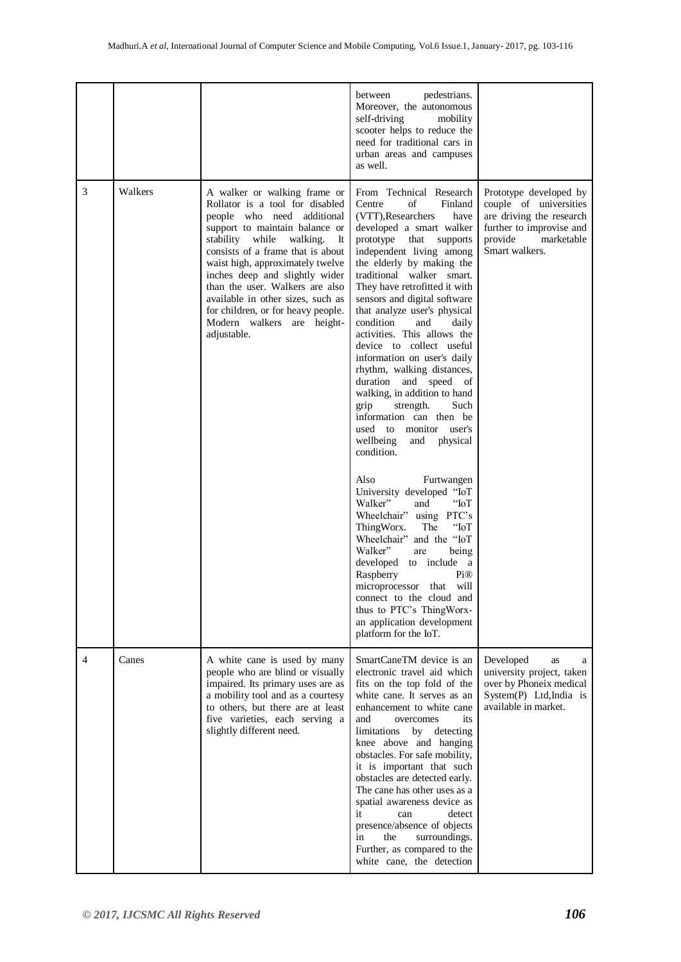|   |         |                                                                                                                                                                                                                                                                                                                                                                                                                                            | between<br>pedestrians.<br>Moreover, the autonomous<br>self-driving<br>mobility<br>scooter helps to reduce the<br>need for traditional cars in<br>urban areas and campuses<br>as well.                                                                                                                                                                                                                                                                                                                                                                                                                                                                                                                   |                                                                                                                                                     |
|---|---------|--------------------------------------------------------------------------------------------------------------------------------------------------------------------------------------------------------------------------------------------------------------------------------------------------------------------------------------------------------------------------------------------------------------------------------------------|----------------------------------------------------------------------------------------------------------------------------------------------------------------------------------------------------------------------------------------------------------------------------------------------------------------------------------------------------------------------------------------------------------------------------------------------------------------------------------------------------------------------------------------------------------------------------------------------------------------------------------------------------------------------------------------------------------|-----------------------------------------------------------------------------------------------------------------------------------------------------|
| 3 | Walkers | A walker or walking frame or<br>Rollator is a tool for disabled<br>people who need additional<br>support to maintain balance or<br>stability while<br>walking.<br>It<br>consists of a frame that is about<br>waist high, approximately twelve<br>inches deep and slightly wider<br>than the user. Walkers are also<br>available in other sizes, such as<br>for children, or for heavy people.<br>Modern walkers are height-<br>adjustable. | From Technical Research<br>Centre<br>of<br>Finland<br>(VTT), Researchers<br>have<br>developed a smart walker<br>prototype<br>that<br>supports<br>independent living among<br>the elderly by making the<br>traditional walker smart.<br>They have retrofitted it with<br>sensors and digital software<br>that analyze user's physical<br>condition<br>and<br>daily<br>activities. This allows the<br>device to collect useful<br>information on user's daily<br>rhythm, walking distances,<br>duration and speed of<br>walking, in addition to hand<br>grip<br>strength.<br>Such<br>information can then be<br>used to monitor user's<br>wellbeing<br>and<br>physical<br>condition.<br>Also<br>Furtwangen | Prototype developed by<br>couple of universities<br>are driving the research<br>further to improvise and<br>provide<br>marketable<br>Smart walkers. |
|   |         |                                                                                                                                                                                                                                                                                                                                                                                                                                            | University developed "IoT<br>Walker"<br>$\mbox{``IoT}$<br>and<br>Wheelchair" using PTC's<br>" $IoT$<br>ThingWorx.<br>The<br>Wheelchair" and the "IoT<br>Walker"<br>being<br>are<br>developed to include a<br>Raspberry<br>Pi@<br>microprocessor that will<br>connect to the cloud and<br>thus to PTC's ThingWorx-<br>an application development<br>platform for the IoT.                                                                                                                                                                                                                                                                                                                                 |                                                                                                                                                     |
| 4 | Canes   | A white cane is used by many<br>people who are blind or visually<br>impaired. Its primary uses are as<br>a mobility tool and as a courtesy<br>to others, but there are at least<br>five varieties, each serving a<br>slightly different need.                                                                                                                                                                                              | SmartCaneTM device is an<br>electronic travel aid which<br>fits on the top fold of the<br>white cane. It serves as an<br>enhancement to white cane<br>and<br>overcomes<br>its<br>limitations by detecting<br>knee above and hanging<br>obstacles. For safe mobility,<br>it is important that such<br>obstacles are detected early.<br>The cane has other uses as a<br>spatial awareness device as<br>it<br>detect<br>can<br>presence/absence of objects<br>the<br>surroundings.<br>in<br>Further, as compared to the<br>white cane, the detection                                                                                                                                                        | Developed<br>as<br>a<br>university project, taken<br>over by Phoneix medical<br>System(P) Ltd, India is<br>available in market.                     |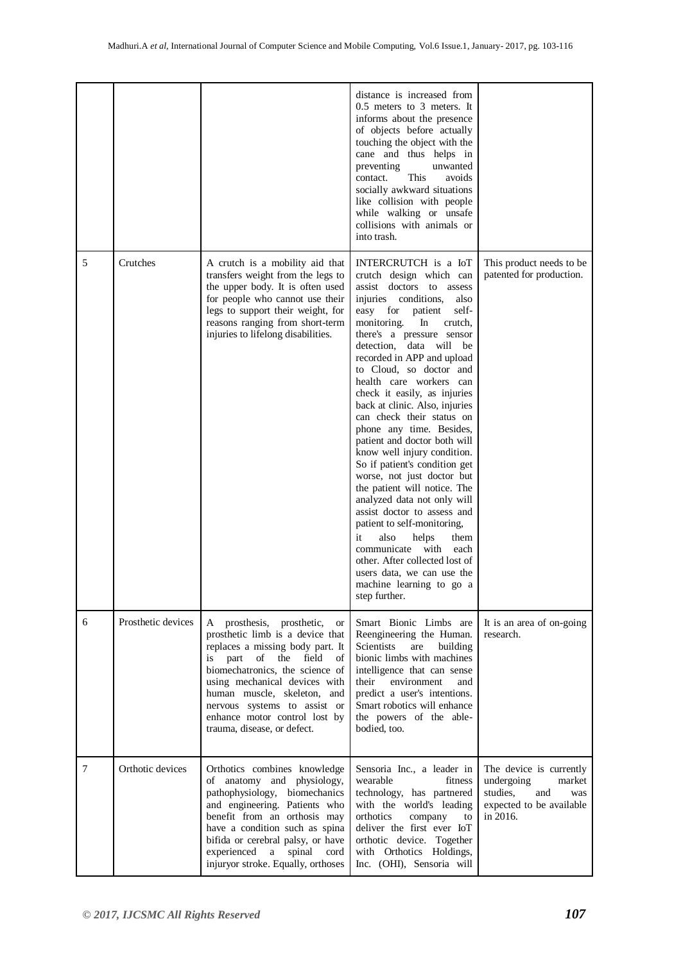|   |                    |                                                                                                                                                                                                                                                                                                                                                       | distance is increased from<br>$0.5$ meters to $3$ meters. It<br>informs about the presence<br>of objects before actually<br>touching the object with the<br>cane and thus helps in<br>preventing<br>unwanted<br>This<br>contact.<br>avoids<br>socially awkward situations<br>like collision with people<br>while walking or unsafe<br>collisions with animals or<br>into trash.                                                                                                                                                                                                                                                                                                                                                                                                                                                                                                          |                                                                                                                   |
|---|--------------------|-------------------------------------------------------------------------------------------------------------------------------------------------------------------------------------------------------------------------------------------------------------------------------------------------------------------------------------------------------|------------------------------------------------------------------------------------------------------------------------------------------------------------------------------------------------------------------------------------------------------------------------------------------------------------------------------------------------------------------------------------------------------------------------------------------------------------------------------------------------------------------------------------------------------------------------------------------------------------------------------------------------------------------------------------------------------------------------------------------------------------------------------------------------------------------------------------------------------------------------------------------|-------------------------------------------------------------------------------------------------------------------|
| 5 | Crutches           | A crutch is a mobility aid that<br>transfers weight from the legs to<br>the upper body. It is often used<br>for people who cannot use their<br>legs to support their weight, for<br>reasons ranging from short-term<br>injuries to lifelong disabilities.                                                                                             | INTERCRUTCH is a IoT<br>crutch design which can<br>assist doctors to assess<br>injuries conditions,<br>also<br>self-<br>easy for<br>patient<br>monitoring.<br>In<br>crutch,<br>there's a pressure sensor<br>detection, data will<br>be<br>recorded in APP and upload<br>to Cloud, so doctor and<br>health care workers can<br>check it easily, as injuries<br>back at clinic. Also, injuries<br>can check their status on<br>phone any time. Besides,<br>patient and doctor both will<br>know well injury condition.<br>So if patient's condition get<br>worse, not just doctor but<br>the patient will notice. The<br>analyzed data not only will<br>assist doctor to assess and<br>patient to self-monitoring,<br>it<br>also<br>helps<br>them<br>communicate with<br>each<br>other. After collected lost of<br>users data, we can use the<br>machine learning to go a<br>step further. | This product needs to be<br>patented for production.                                                              |
| 6 | Prosthetic devices | prosthesis, prosthetic,<br>A<br><b>or</b><br>prosthetic limb is a device that<br>replaces a missing body part. It<br>is part of the<br>field<br>of<br>biomechatronics, the science of<br>using mechanical devices with<br>human muscle, skeleton, and<br>nervous systems to assist or<br>enhance motor control lost by<br>trauma, disease, or defect. | Smart Bionic Limbs are<br>Reengineering the Human.<br>Scientists<br>are<br>building<br>bionic limbs with machines<br>intelligence that can sense<br>their<br>environment<br>and<br>predict a user's intentions.<br>Smart robotics will enhance<br>the powers of the able-<br>bodied, too.                                                                                                                                                                                                                                                                                                                                                                                                                                                                                                                                                                                                | It is an area of on-going<br>research.                                                                            |
| 7 | Orthotic devices   | Orthotics combines knowledge<br>of anatomy and physiology,<br>pathophysiology,<br>biomechanics<br>and engineering. Patients who<br>benefit from an orthosis may<br>have a condition such as spina<br>bifida or cerebral palsy, or have<br>experienced<br>a<br>spinal<br>cord<br>injuryor stroke. Equally, orthoses                                    | Sensoria Inc., a leader in<br>wearable<br>fitness<br>technology, has partnered<br>with the world's leading<br>orthotics<br>company<br>to<br>deliver the first ever IoT<br>orthotic device. Together<br>with Orthotics Holdings,<br>Inc. (OHI), Sensoria will                                                                                                                                                                                                                                                                                                                                                                                                                                                                                                                                                                                                                             | The device is currently<br>undergoing<br>market<br>studies,<br>and<br>was<br>expected to be available<br>in 2016. |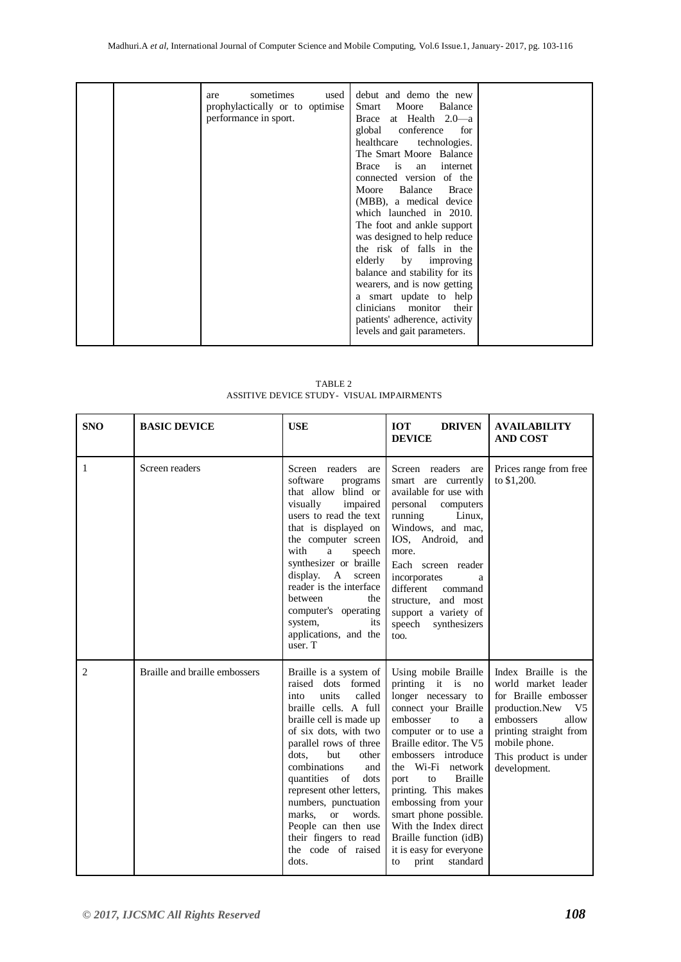|  | sometimes<br>used<br>are<br>prophylactically or to optimise<br>performance in sport. | debut and demo the new<br>Moore<br>Balance<br>Smart<br>Brace at Health 2.0-a<br>global<br>conference<br>for<br>healthcare<br>technologies.<br>The Smart Moore Balance<br>Brace is an internet<br>connected version of the<br>Balance<br><b>Brace</b><br>Moore<br>(MBB), a medical device<br>which launched in 2010.<br>The foot and ankle support<br>was designed to help reduce<br>the risk of falls in the<br>elderly by improving<br>balance and stability for its<br>wearers, and is now getting<br>a smart update to help<br>clinicians monitor<br>their<br>patients' adherence, activity<br>levels and gait parameters. |  |
|--|--------------------------------------------------------------------------------------|-------------------------------------------------------------------------------------------------------------------------------------------------------------------------------------------------------------------------------------------------------------------------------------------------------------------------------------------------------------------------------------------------------------------------------------------------------------------------------------------------------------------------------------------------------------------------------------------------------------------------------|--|
|--|--------------------------------------------------------------------------------------|-------------------------------------------------------------------------------------------------------------------------------------------------------------------------------------------------------------------------------------------------------------------------------------------------------------------------------------------------------------------------------------------------------------------------------------------------------------------------------------------------------------------------------------------------------------------------------------------------------------------------------|--|

| TABLE 2                                    |  |
|--------------------------------------------|--|
| ASSITIVE DEVICE STUDY - VISUAL IMPAIRMENTS |  |

| <b>SNO</b> | <b>BASIC DEVICE</b>           | <b>USE</b>                                                                                                                                                                                                                                                                                                                                                                                                                       | <b>DRIVEN</b><br><b>IOT</b><br><b>DEVICE</b>                                                                                                                                                                                                                                                                                                                                                                                      | <b>AVAILABILITY</b><br><b>AND COST</b>                                                                                                                                                                            |
|------------|-------------------------------|----------------------------------------------------------------------------------------------------------------------------------------------------------------------------------------------------------------------------------------------------------------------------------------------------------------------------------------------------------------------------------------------------------------------------------|-----------------------------------------------------------------------------------------------------------------------------------------------------------------------------------------------------------------------------------------------------------------------------------------------------------------------------------------------------------------------------------------------------------------------------------|-------------------------------------------------------------------------------------------------------------------------------------------------------------------------------------------------------------------|
| 1          | Screen readers                | Screen readers<br>are<br>software<br>programs<br>that allow blind or<br>visually<br>impaired<br>users to read the text<br>that is displayed on<br>the computer screen<br>with<br>speech<br>a<br>synthesizer or braille<br>display.<br>$\mathbf{A}$<br>screen<br>reader is the interface<br>between<br>the<br>computer's operating<br>system,<br>its<br>applications, and the<br>user. T                                          | Screen readers<br>are<br>smart are currently<br>available for use with<br>personal<br>computers<br>running<br>Linux,<br>Windows, and mac,<br>IOS, Android,<br>and<br>more.<br>Each screen reader<br>incorporates<br>a<br>different<br>command<br>structure.<br>and most<br>support a variety of<br>speech<br>synthesizers<br>too.                                                                                                 | Prices range from free<br>to \$1,200.                                                                                                                                                                             |
| 2          | Braille and braille embossers | Braille is a system of<br>raised<br>dots<br>formed<br>units<br>called<br>into<br>braille cells. A full<br>braille cell is made up<br>of six dots, with two<br>parallel rows of three<br>dots.<br>but<br>other<br>combinations<br>and<br>quantities of<br>dots<br>represent other letters,<br>numbers, punctuation<br>marks,<br>$\alpha$<br>words.<br>People can then use<br>their fingers to read<br>the code of raised<br>dots. | Using mobile Braille<br>printing it is<br>no<br>longer necessary to<br>connect your Braille<br>embosser<br>to<br>a<br>computer or to use a<br>Braille editor. The V5<br>embossers introduce<br>the Wi-Fi network<br><b>Braille</b><br>to<br>port<br>printing. This makes<br>embossing from your<br>smart phone possible.<br>With the Index direct<br>Braille function (idB)<br>it is easy for everyone<br>print<br>standard<br>to | Index Braille is the<br>world market leader<br>for Braille embosser<br>production.New<br>V <sub>5</sub><br>embossers<br>allow<br>printing straight from<br>mobile phone.<br>This product is under<br>development. |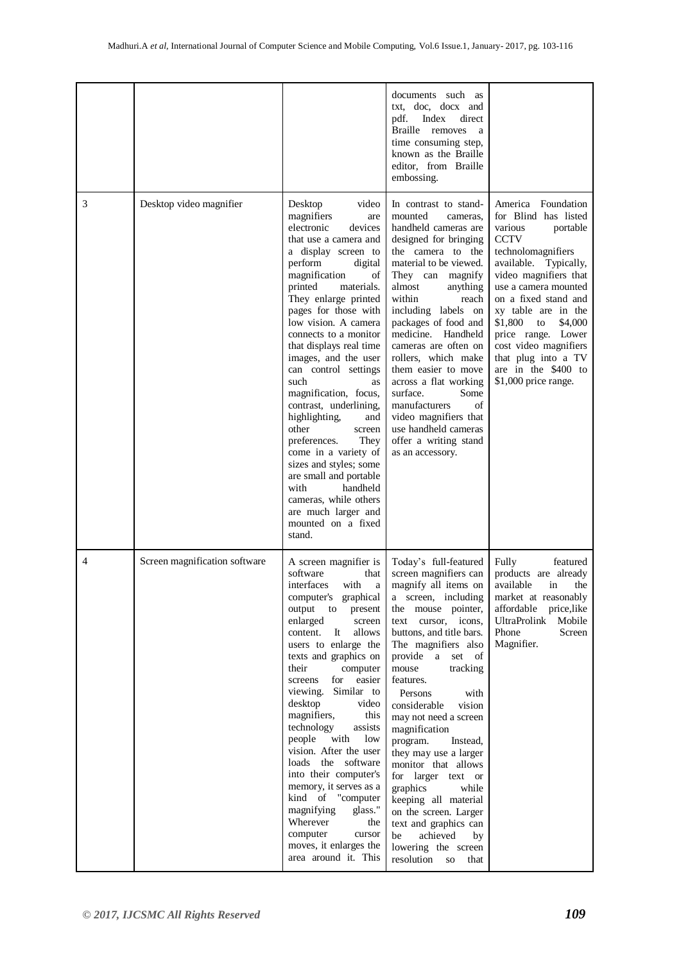| 3 | Desktop video magnifier       | video<br>Desktop<br>magnifiers<br>are<br>electronic<br>devices<br>that use a camera and<br>a display screen to<br>perform<br>digital<br>magnification<br>of<br>printed<br>materials.<br>They enlarge printed<br>pages for those with<br>low vision. A camera<br>connects to a monitor                                                                                                                                                                                                                                                                                                                                                          | documents such as<br>txt, doc, docx and<br>Index<br>direct<br>pdf.<br>Braille removes<br><sub>a</sub><br>time consuming step,<br>known as the Braille<br>editor, from Braille<br>embossing.<br>In contrast to stand-<br>mounted<br>cameras,<br>handheld cameras are<br>designed for bringing<br>the camera to the<br>material to be viewed.<br>They can magnify<br>almost<br>anything<br>within<br>reach<br>including labels on<br>packages of food and<br>medicine. Handheld                                                                                                                                             | America Foundation<br>for Blind has listed<br>various<br>portable<br><b>CCTV</b><br>technolomagnifiers<br>available.<br>Typically,<br>video magnifiers that<br>use a camera mounted<br>on a fixed stand and<br>xy table are in the<br>$$1,800$ to<br>\$4,000<br>price range. Lower |
|---|-------------------------------|------------------------------------------------------------------------------------------------------------------------------------------------------------------------------------------------------------------------------------------------------------------------------------------------------------------------------------------------------------------------------------------------------------------------------------------------------------------------------------------------------------------------------------------------------------------------------------------------------------------------------------------------|---------------------------------------------------------------------------------------------------------------------------------------------------------------------------------------------------------------------------------------------------------------------------------------------------------------------------------------------------------------------------------------------------------------------------------------------------------------------------------------------------------------------------------------------------------------------------------------------------------------------------|------------------------------------------------------------------------------------------------------------------------------------------------------------------------------------------------------------------------------------------------------------------------------------|
|   |                               | that displays real time<br>images, and the user<br>can control settings<br>such<br>as<br>magnification, focus,<br>contrast, underlining,<br>highlighting,<br>and<br>other<br>screen<br>preferences.<br>They<br>come in a variety of<br>sizes and styles; some<br>are small and portable<br>with<br>handheld<br>cameras, while others<br>are much larger and<br>mounted on a fixed<br>stand.                                                                                                                                                                                                                                                    | cameras are often on<br>rollers, which make<br>them easier to move<br>across a flat working<br>surface.<br>Some<br>manufacturers<br>of<br>video magnifiers that<br>use handheld cameras<br>offer a writing stand<br>as an accessory.                                                                                                                                                                                                                                                                                                                                                                                      | cost video magnifiers<br>that plug into a TV<br>are in the \$400 to<br>\$1,000 price range.                                                                                                                                                                                        |
| 4 | Screen magnification software | A screen magnifier is<br>software<br>that<br>interfaces<br>with<br>a<br>computer's graphical<br>output<br>to<br>present<br>enlarged<br>screen<br>allows<br>content.<br>It<br>users to enlarge the<br>texts and graphics on<br>their<br>computer<br>for<br>easier<br>screens<br>Similar to<br>viewing.<br>desktop<br>video<br>magnifiers,<br>this<br>technology<br>assists<br>people<br>with<br>low<br>vision. After the user<br>loads the software<br>into their computer's<br>memory, it serves as a<br>kind of "computer<br>magnifying<br>glass."<br>Wherever<br>the<br>computer<br>cursor<br>moves, it enlarges the<br>area around it. This | Today's full-featured<br>screen magnifiers can<br>magnify all items on<br>a screen, including<br>the mouse pointer,<br>text cursor, icons,<br>buttons, and title bars.<br>The magnifiers also<br>provide a set of<br>tracking<br>mouse<br>features.<br>Persons<br>with<br>considerable<br>vision<br>may not need a screen<br>magnification<br>program.<br>Instead,<br>they may use a larger<br>monitor that allows<br>for larger text or<br>graphics<br>while<br>keeping all material<br>on the screen. Larger<br>text and graphics can<br>be<br>achieved<br>by<br>lowering the screen<br>resolution<br><b>SO</b><br>that | Fully<br>featured<br>products are already<br>available<br>in<br>the<br>market at reasonably<br>affordable price, like<br>UltraProlink<br>Mobile<br>Phone<br>Screen<br>Magnifier.                                                                                                   |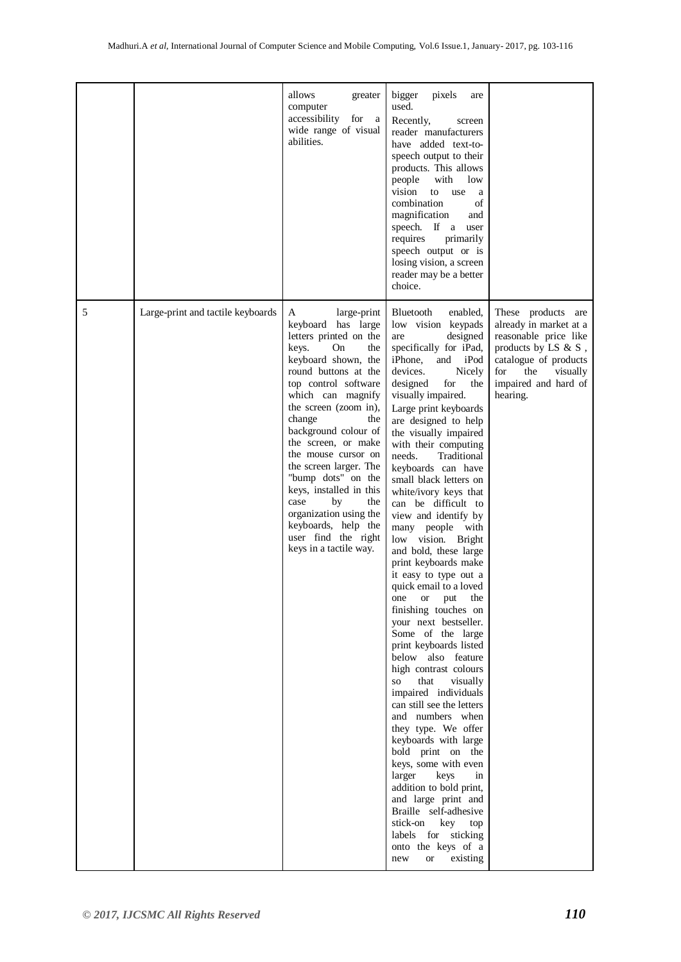|   |                                   | allows<br>greater<br>computer<br>accessibility<br>for<br><sub>a</sub><br>wide range of visual<br>abilities.                                                                                                                                                                                                                                                                                                                                                                                          | bigger<br>pixels<br>are<br>used.<br>Recently,<br>screen<br>reader manufacturers<br>have added text-to-<br>speech output to their<br>products. This allows<br>with<br>low<br>people<br>vision<br>to<br>use<br>a<br>combination<br>of<br>magnification<br>and<br>speech. If a<br>user<br>requires<br>primarily<br>speech output or is<br>losing vision, a screen<br>reader may be a better<br>choice.                                                                                                                                                                                                                                                                                                                                                                                                                                                                                                                                                                                                                                                                                                                                                                                           |                                                                                                                                                                                         |
|---|-----------------------------------|------------------------------------------------------------------------------------------------------------------------------------------------------------------------------------------------------------------------------------------------------------------------------------------------------------------------------------------------------------------------------------------------------------------------------------------------------------------------------------------------------|-----------------------------------------------------------------------------------------------------------------------------------------------------------------------------------------------------------------------------------------------------------------------------------------------------------------------------------------------------------------------------------------------------------------------------------------------------------------------------------------------------------------------------------------------------------------------------------------------------------------------------------------------------------------------------------------------------------------------------------------------------------------------------------------------------------------------------------------------------------------------------------------------------------------------------------------------------------------------------------------------------------------------------------------------------------------------------------------------------------------------------------------------------------------------------------------------|-----------------------------------------------------------------------------------------------------------------------------------------------------------------------------------------|
| 5 | Large-print and tactile keyboards | large-print<br>A<br>keyboard has large<br>letters printed on the<br>keys.<br>On<br>the<br>keyboard shown, the<br>round buttons at the<br>top control software<br>which can magnify<br>the screen (zoom in),<br>change<br>the<br>background colour of<br>the screen, or make<br>the mouse cursor on<br>the screen larger. The<br>"bump dots" on the<br>keys, installed in this<br>case<br>by<br>the<br>organization using the<br>keyboards, help the<br>user find the right<br>keys in a tactile way. | Bluetooth<br>enabled.<br>low vision keypads<br>designed<br>are<br>specifically for iPad,<br>iPhone,<br>and<br>iPod<br>devices.<br>Nicely<br>designed<br>for<br>the<br>visually impaired.<br>Large print keyboards<br>are designed to help<br>the visually impaired<br>with their computing<br>needs.<br>Traditional<br>keyboards can have<br>small black letters on<br>white/ivory keys that<br>can be difficult to<br>view and identify by<br>many people with<br>low vision. Bright<br>and bold, these large<br>print keyboards make<br>it easy to type out a<br>quick email to a loved<br>the<br><b>or</b><br>put<br>one<br>finishing touches on<br>your next bestseller.<br>Some of the large<br>print keyboards listed<br>below also feature<br>high contrast colours<br>that<br>visually<br>SO <sub>3</sub><br>impaired individuals<br>can still see the letters<br>and numbers when<br>they type. We offer<br>keyboards with large<br>bold print on the<br>keys, some with even<br>larger<br>keys<br>in<br>addition to bold print,<br>and large print and<br>Braille self-adhesive<br>stick-on key<br>top<br>labels for sticking<br>onto the keys of a<br>existing<br><b>or</b><br>new | These products are<br>already in market at a<br>reasonable price like<br>products by LS $\& S$ ,<br>catalogue of products<br>for<br>the<br>visually<br>impaired and hard of<br>hearing. |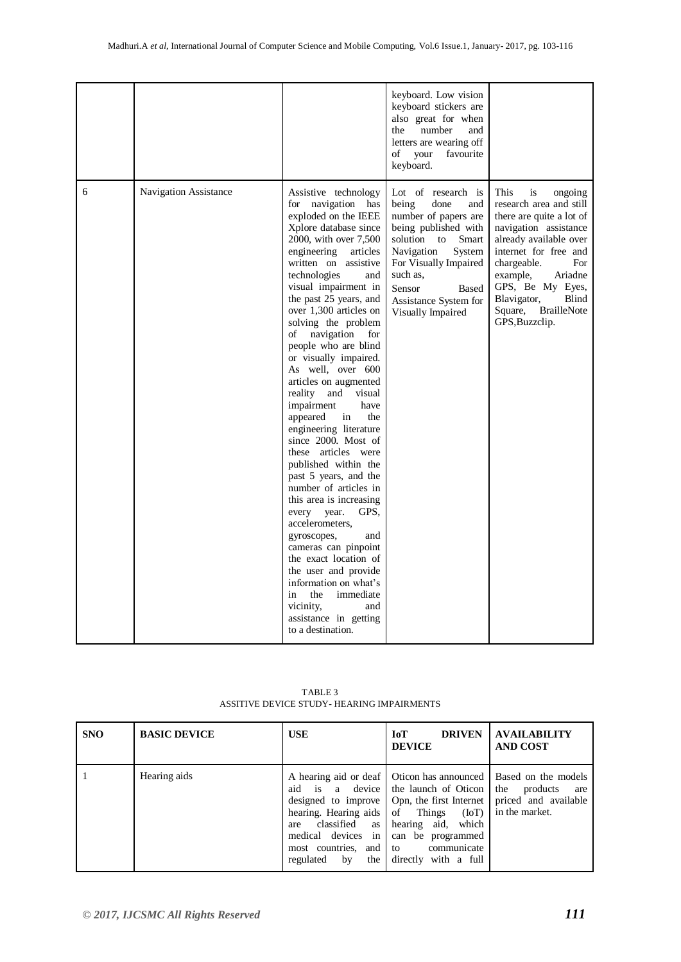|   |                       |                                                                                                                                                                                                                                                                                                                                                                                                                                                                                                                                                                                                                                                                                                                                                                                                                                                                                                                                                      | keyboard. Low vision<br>keyboard stickers are<br>also great for when<br>number<br>and<br>the<br>letters are wearing off<br>of<br>favourite<br>your<br>keyboard.                                                                                            |                                                                                                                                                                                                                                                                                                             |
|---|-----------------------|------------------------------------------------------------------------------------------------------------------------------------------------------------------------------------------------------------------------------------------------------------------------------------------------------------------------------------------------------------------------------------------------------------------------------------------------------------------------------------------------------------------------------------------------------------------------------------------------------------------------------------------------------------------------------------------------------------------------------------------------------------------------------------------------------------------------------------------------------------------------------------------------------------------------------------------------------|------------------------------------------------------------------------------------------------------------------------------------------------------------------------------------------------------------------------------------------------------------|-------------------------------------------------------------------------------------------------------------------------------------------------------------------------------------------------------------------------------------------------------------------------------------------------------------|
| 6 | Navigation Assistance | Assistive technology<br>for navigation has<br>exploded on the IEEE<br>Xplore database since<br>2000, with over 7,500<br>engineering<br>articles<br>written on assistive<br>technologies<br>and<br>visual impairment in<br>the past 25 years, and<br>over 1,300 articles on<br>solving the problem<br>of<br>navigation<br>for<br>people who are blind<br>or visually impaired.<br>As well, over 600<br>articles on augmented<br>and<br>visual<br>reality<br>impairment<br>have<br>appeared<br>in<br>the<br>engineering literature<br>since 2000. Most of<br>these articles were<br>published within the<br>past 5 years, and the<br>number of articles in<br>this area is increasing<br>GPS,<br>every<br>year.<br>accelerometers.<br>gyroscopes,<br>and<br>cameras can pinpoint<br>the exact location of<br>the user and provide<br>information on what's<br>the<br>immediate<br>in<br>vicinity,<br>and<br>assistance in getting<br>to a destination. | Lot of research is<br>being<br>done<br>and<br>number of papers are<br>being published with<br>solution<br>to<br>Smart<br>Navigation<br>System<br>For Visually Impaired<br>such as.<br>Sensor<br><b>Based</b><br>Assistance System for<br>Visually Impaired | <b>This</b><br>is<br>ongoing<br>research area and still<br>there are quite a lot of<br>navigation assistance<br>already available over<br>internet for free and<br>chargeable.<br>For<br>example,<br>Ariadne<br>GPS, Be My Eyes,<br>Blavigator,<br>Blind<br>Square,<br><b>BrailleNote</b><br>GPS, Buzzclip. |

 TABLE 3 ASSITIVE DEVICE STUDY- HEARING IMPAIRMENTS

| <b>SNO</b> | <b>BASIC DEVICE</b> | <b>USE</b>                                                                                                                                                   | <b>DRIVEN</b><br><b>IoT</b><br><b>DEVICE</b>                                                                                                                                                                                                 | <b>AVAILABILITY</b><br><b>AND COST</b>                           |
|------------|---------------------|--------------------------------------------------------------------------------------------------------------------------------------------------------------|----------------------------------------------------------------------------------------------------------------------------------------------------------------------------------------------------------------------------------------------|------------------------------------------------------------------|
|            | Hearing aids        | aid is a device<br>hearing. Hearing aids of Things<br>classified<br>as<br>are<br>in<br>medical devices<br>most countries,<br>and 1<br>regulated<br>by<br>the | A hearing aid or deaf   Oticon has announced   Based on the models<br>the launch of Oticon<br>designed to improve   Opn, the first Internet<br>(IoT)<br>hearing aid, which<br>can be programmed<br>communicate<br>to<br>directly with a full | the<br>products<br>are<br>priced and available<br>in the market. |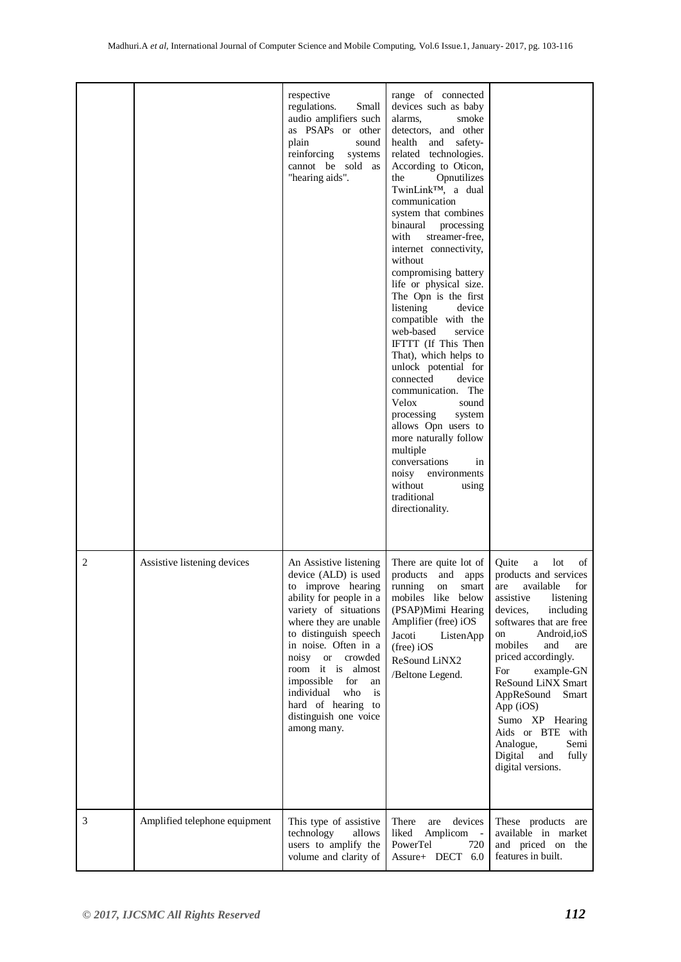|   |                               | respective<br>regulations.<br>Small<br>audio amplifiers such<br>as PSAPs or other<br>plain<br>sound<br>reinforcing<br>systems<br>cannot be sold as<br>"hearing aids".                                                                                                                                                                                           | range of connected<br>devices such as baby<br>alarms.<br>smoke<br>detectors, and other<br>health<br>and safety-<br>related technologies.<br>According to Oticon,<br>Opnutilizes<br>the<br>TwinLink™, a dual<br>communication<br>system that combines<br>binaural<br>processing<br>with<br>streamer-free,<br>internet connectivity,<br>without<br>compromising battery<br>life or physical size.<br>The Opn is the first<br>listening<br>device<br>compatible with the<br>web-based<br>service<br>IFTTT (If This Then<br>That), which helps to<br>unlock potential for<br>connected<br>device<br>communication. The<br>Velox<br>sound<br>processing<br>system<br>allows Opn users to<br>more naturally follow<br>multiple<br>conversations<br>in<br>noisy environments<br>without<br>using<br>traditional<br>directionality. |                                                                                                                                                                                                                                                                                                                                                                                                                            |
|---|-------------------------------|-----------------------------------------------------------------------------------------------------------------------------------------------------------------------------------------------------------------------------------------------------------------------------------------------------------------------------------------------------------------|-----------------------------------------------------------------------------------------------------------------------------------------------------------------------------------------------------------------------------------------------------------------------------------------------------------------------------------------------------------------------------------------------------------------------------------------------------------------------------------------------------------------------------------------------------------------------------------------------------------------------------------------------------------------------------------------------------------------------------------------------------------------------------------------------------------------------------|----------------------------------------------------------------------------------------------------------------------------------------------------------------------------------------------------------------------------------------------------------------------------------------------------------------------------------------------------------------------------------------------------------------------------|
| 2 | Assistive listening devices   | An Assistive listening<br>device (ALD) is used<br>to improve hearing<br>ability for people in a<br>variety of situations<br>where they are unable<br>to distinguish speech<br>in noise. Often in a<br>noisy or crowded<br>room it is almost<br>impossible<br>for<br>an<br>individual<br>who<br>is<br>hard of hearing to<br>distinguish one voice<br>among many. | There are quite lot of<br>products<br>and<br>apps<br>running<br>smart<br>on<br>mobiles like below<br>(PSAP)Mimi Hearing<br>Amplifier (free) iOS<br>Jacoti<br>ListenApp<br>$(free)$ iOS<br>ReSound LiNX2<br>/Beltone Legend.                                                                                                                                                                                                                                                                                                                                                                                                                                                                                                                                                                                                 | lot<br>Quite<br>of<br>a<br>products and services<br>are<br>available<br>for<br>listening<br>assistive<br>devices,<br>including<br>softwares that are free<br>Android, ioS<br>on<br>mobiles<br>and<br>are<br>priced accordingly.<br>For<br>example-GN<br>ReSound LiNX Smart<br>AppReSound<br>Smart<br>App (iOS)<br>Sumo XP Hearing<br>Aids or BTE with<br>Semi<br>Analogue,<br>Digital<br>and<br>fully<br>digital versions. |
| 3 | Amplified telephone equipment | This type of assistive<br>technology<br>allows<br>users to amplify the<br>volume and clarity of                                                                                                                                                                                                                                                                 | There<br>devices<br>are<br>liked<br>Amplicom -<br>PowerTel<br>720<br>Assure+ DECT 6.0                                                                                                                                                                                                                                                                                                                                                                                                                                                                                                                                                                                                                                                                                                                                       | These products are<br>available in market<br>and priced on the<br>features in built.                                                                                                                                                                                                                                                                                                                                       |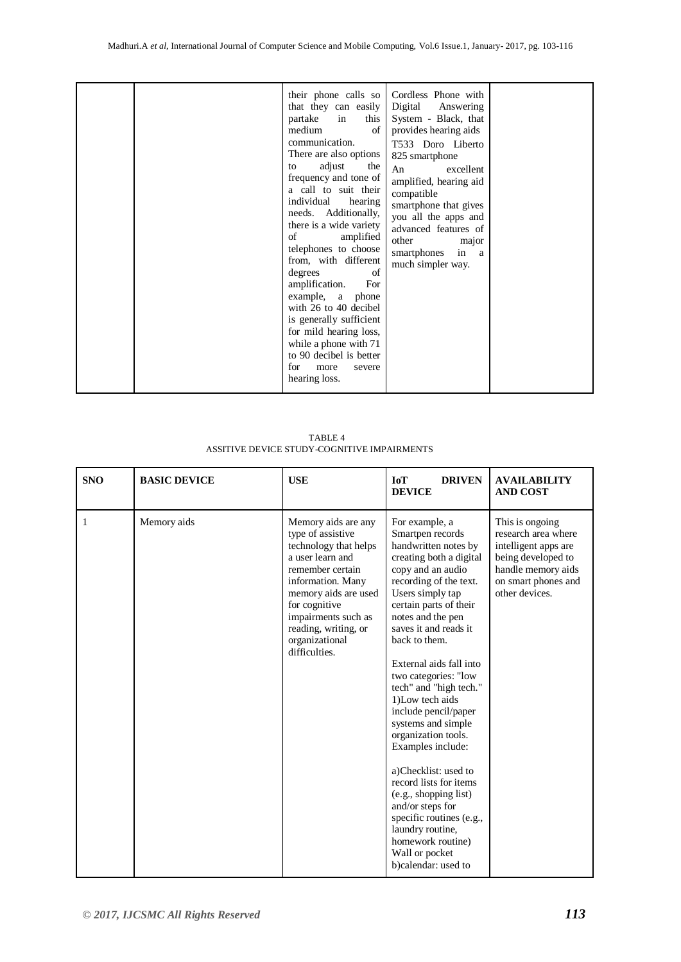|  | their phone calls so<br>that they can easily<br>this  <br>partake in<br>of<br>medium<br>communication.<br>There are also options<br>adjust<br>the<br>to<br>frequency and tone of<br>a call to suit their<br>individual<br>hearing<br>needs. Additionally,<br>there is a wide variety<br>amplified<br>of<br>telephones to choose<br>from, with different<br>degrees<br>of<br>amplification.<br>For<br>example, a phone<br>with 26 to 40 decibel<br>is generally sufficient<br>for mild hearing loss,<br>while a phone with 71<br>to 90 decibel is better<br>for<br>more<br>severe<br>hearing loss. | Cordless Phone with<br>Digital Answering<br>System - Black, that<br>provides hearing aids<br>T533 Doro Liberto<br>825 smartphone<br>excellent<br>An<br>amplified, hearing aid<br>compatible<br>smartphone that gives<br>you all the apps and<br>advanced features of<br>other<br>major<br>smartphones in a<br>much simpler way. |  |
|--|---------------------------------------------------------------------------------------------------------------------------------------------------------------------------------------------------------------------------------------------------------------------------------------------------------------------------------------------------------------------------------------------------------------------------------------------------------------------------------------------------------------------------------------------------------------------------------------------------|---------------------------------------------------------------------------------------------------------------------------------------------------------------------------------------------------------------------------------------------------------------------------------------------------------------------------------|--|

 TABLE 4 ASSITIVE DEVICE STUDY-COGNITIVE IMPAIRMENTS

| <b>SNO</b> | <b>BASIC DEVICE</b> | <b>USE</b>                                                                                                                                                                                                                                                | <b>DRIVEN</b><br><b>IoT</b><br><b>DEVICE</b>                                                                                                                                                                                                                                                                                                                                                                                                                                                                                                                                                                                                              | <b>AVAILABILITY</b><br><b>AND COST</b>                                                                                                              |
|------------|---------------------|-----------------------------------------------------------------------------------------------------------------------------------------------------------------------------------------------------------------------------------------------------------|-----------------------------------------------------------------------------------------------------------------------------------------------------------------------------------------------------------------------------------------------------------------------------------------------------------------------------------------------------------------------------------------------------------------------------------------------------------------------------------------------------------------------------------------------------------------------------------------------------------------------------------------------------------|-----------------------------------------------------------------------------------------------------------------------------------------------------|
| 1          | Memory aids         | Memory aids are any<br>type of assistive<br>technology that helps<br>a user learn and<br>remember certain<br>information. Many<br>memory aids are used<br>for cognitive<br>impairments such as<br>reading, writing, or<br>organizational<br>difficulties. | For example, a<br>Smartpen records<br>handwritten notes by<br>creating both a digital<br>copy and an audio<br>recording of the text.<br>Users simply tap<br>certain parts of their<br>notes and the pen<br>saves it and reads it<br>back to them.<br>External aids fall into<br>two categories: "low<br>tech" and "high tech."<br>1) Low tech aids<br>include pencil/paper<br>systems and simple<br>organization tools.<br>Examples include:<br>a)Checklist: used to<br>record lists for items<br>(e.g., shopping list)<br>and/or steps for<br>specific routines (e.g.,<br>laundry routine,<br>homework routine)<br>Wall or pocket<br>b)calendar: used to | This is ongoing<br>research area where<br>intelligent apps are<br>being developed to<br>handle memory aids<br>on smart phones and<br>other devices. |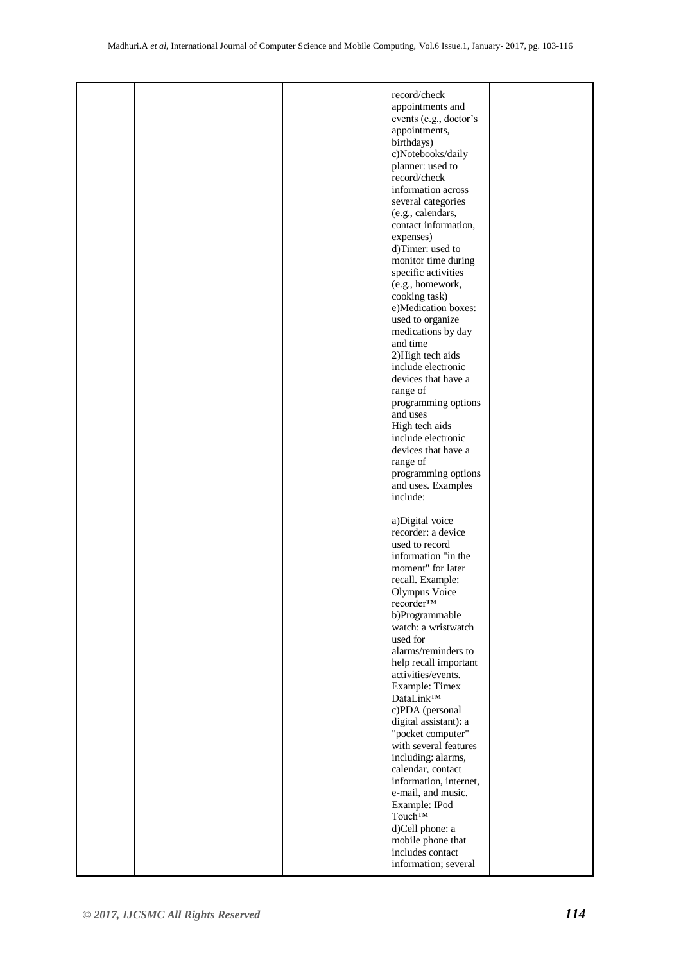|  | record/check           |  |
|--|------------------------|--|
|  | appointments and       |  |
|  | events (e.g., doctor's |  |
|  | appointments,          |  |
|  |                        |  |
|  | birthdays)             |  |
|  | c)Notebooks/daily      |  |
|  | planner: used to       |  |
|  | record/check           |  |
|  |                        |  |
|  | information across     |  |
|  | several categories     |  |
|  | (e.g., calendars,      |  |
|  |                        |  |
|  | contact information,   |  |
|  | expenses)              |  |
|  | d)Timer: used to       |  |
|  | monitor time during    |  |
|  |                        |  |
|  | specific activities    |  |
|  | (e.g., homework,       |  |
|  | cooking task)          |  |
|  | e)Medication boxes:    |  |
|  |                        |  |
|  | used to organize       |  |
|  | medications by day     |  |
|  | and time               |  |
|  | 2) High tech aids      |  |
|  | include electronic     |  |
|  |                        |  |
|  | devices that have a    |  |
|  | range of               |  |
|  | programming options    |  |
|  |                        |  |
|  | and uses               |  |
|  | High tech aids         |  |
|  | include electronic     |  |
|  | devices that have a    |  |
|  |                        |  |
|  | range of               |  |
|  | programming options    |  |
|  | and uses. Examples     |  |
|  | include:               |  |
|  |                        |  |
|  |                        |  |
|  | a)Digital voice        |  |
|  | recorder: a device     |  |
|  | used to record         |  |
|  |                        |  |
|  | information "in the    |  |
|  | moment" for later      |  |
|  | recall. Example:       |  |
|  | Olympus Voice          |  |
|  |                        |  |
|  | recorder™              |  |
|  | b)Programmable         |  |
|  | watch: a wristwatch    |  |
|  | used for               |  |
|  | alarms/reminders to    |  |
|  |                        |  |
|  | help recall important  |  |
|  | activities/events.     |  |
|  | Example: Timex         |  |
|  | DataLink™              |  |
|  |                        |  |
|  | c)PDA (personal        |  |
|  | digital assistant): a  |  |
|  | "pocket computer"      |  |
|  | with several features  |  |
|  |                        |  |
|  | including: alarms,     |  |
|  | calendar, contact      |  |
|  | information, internet, |  |
|  | e-mail, and music.     |  |
|  |                        |  |
|  | Example: IPod          |  |
|  | Touch <sup>TM</sup>    |  |
|  | d)Cell phone: a        |  |
|  | mobile phone that      |  |
|  | includes contact       |  |
|  |                        |  |
|  | information; several   |  |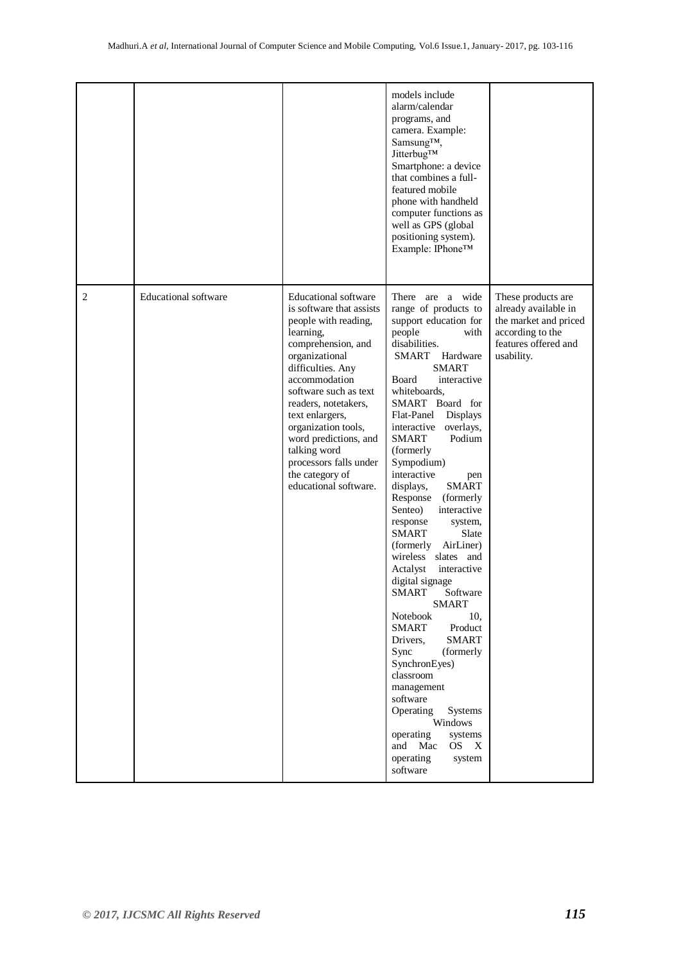|   |                             |                                                                                                                                                                                                                                                                                                                                                                                      | models include<br>alarm/calendar<br>programs, and<br>camera. Example:<br>Samsung™,<br>JitterbugTM<br>Smartphone: a device<br>that combines a full-<br>featured mobile<br>phone with handheld<br>computer functions as<br>well as GPS (global<br>positioning system).<br>Example: IPhone™                                                                                                                                                                                                                                                                                                                                                                                                                                                                                                                                                                                                             |                                                                                                                               |
|---|-----------------------------|--------------------------------------------------------------------------------------------------------------------------------------------------------------------------------------------------------------------------------------------------------------------------------------------------------------------------------------------------------------------------------------|------------------------------------------------------------------------------------------------------------------------------------------------------------------------------------------------------------------------------------------------------------------------------------------------------------------------------------------------------------------------------------------------------------------------------------------------------------------------------------------------------------------------------------------------------------------------------------------------------------------------------------------------------------------------------------------------------------------------------------------------------------------------------------------------------------------------------------------------------------------------------------------------------|-------------------------------------------------------------------------------------------------------------------------------|
| 2 | <b>Educational</b> software | <b>Educational software</b><br>is software that assists<br>people with reading,<br>learning,<br>comprehension, and<br>organizational<br>difficulties. Any<br>accommodation<br>software such as text<br>readers, notetakers,<br>text enlargers,<br>organization tools,<br>word predictions, and<br>talking word<br>processors falls under<br>the category of<br>educational software. | There are a wide<br>range of products to<br>support education for<br>people<br>with<br>disabilities.<br><b>SMART</b><br>Hardware<br><b>SMART</b><br>Board<br>interactive<br>whiteboards,<br>SMART Board for<br>Flat-Panel<br>Displays<br>interactive overlays,<br>Podium<br>SMART<br>(formerly<br>Sympodium)<br>interactive<br>pen<br>displays,<br><b>SMART</b><br>Response<br>(formerly)<br>Senteo)<br>interactive<br>response<br>system,<br><b>SMART</b><br>Slate<br>AirLiner)<br>(formerly)<br>wireless<br>slates and<br>Actalyst<br>interactive<br>digital signage<br><b>SMART</b><br>Software<br><b>SMART</b><br>Notebook<br>10,<br><b>SMART</b><br>Product<br><b>SMART</b><br>Drivers,<br>Sync<br>(formerly<br>SynchronEyes)<br>classroom<br>management<br>software<br>Operating<br><b>Systems</b><br>Windows<br>operating<br>systems<br>and<br>Mac<br>OS X<br>operating<br>system<br>software | These products are<br>already available in<br>the market and priced<br>according to the<br>features offered and<br>usability. |